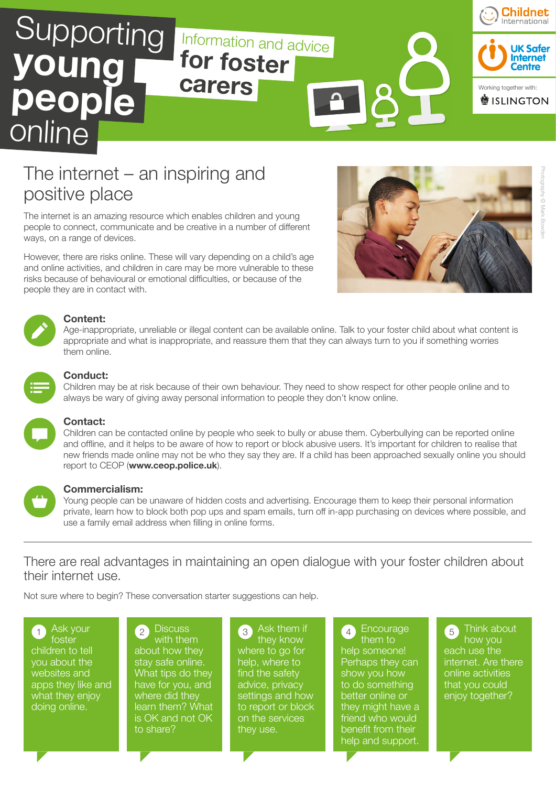

## The internet – an inspiring and positive place

The internet is an amazing resource which enables children and young people to connect, communicate and be creative in a number of different ways, on a range of devices.

However, there are risks online. These will vary depending on a child's age and online activities, and children in care may be more vulnerable to these risks because of behavioural or emotional difficulties, or because of the people they are in contact with.





#### **Content:**

Age-inappropriate, unreliable or illegal content can be available online. Talk to your foster child about what content is appropriate and what is inappropriate, and reassure them that they can always turn to you if something worries them online.



#### **Conduct:**

Children may be at risk because of their own behaviour. They need to show respect for other people online and to always be wary of giving away personal information to people they don't know online.



#### **Contact:**

Children can be contacted online by people who seek to bully or abuse them. Cyberbullying can be reported online and offline, and it helps to be aware of how to report or block abusive users. It's important for children to realise that new friends made online may not be who they say they are. If a child has been approached sexually online you should report to CEOP (**www.ceop.police.uk**).



#### **Commercialism:**

Young people can be unaware of hidden costs and advertising. Encourage them to keep their personal information private, learn how to block both pop ups and spam emails, turn off in-app purchasing on devices where possible, and use a family email address when filling in online forms.

## There are real advantages in maintaining an open dialogue with your foster children about their internet use.

Not sure where to begin? These conversation starter suggestions can help.

Ask your foster children to tell you about the websites and apps they like and what they enjoy doing online.

**Discuss** with them about how they

stay safe online. What tips do they have for you, and where did they learn them? What is OK and not OK to share?

Ask them if they know where to go for help, where to find the safety advice, privacy settings and how to report or block on the services they use.

Encourage them to help someone! Perhaps they can show you how to do something better online or they might have a friend who would benefit from their help and support.  $1$  Ask your  $2$  Discussed  $3$  Ask them and  $4$  Filcourage  $5$ 

Think about how you each use the internet. Are there online activities that you could enjoy together?